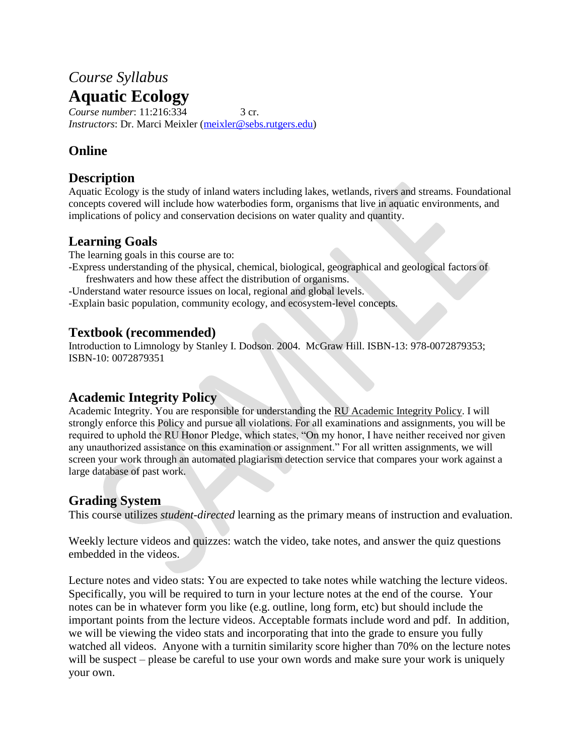# *Course Syllabus* **Aquatic Ecology**

*Course number*: 11:216:334 3 cr. *Instructors*: Dr. Marci Meixler [\(meixler@sebs.rutgers.edu\)](mailto:meixler@sebs.rutgers.edu)

### **Online**

#### **Description**

Aquatic Ecology is the study of inland waters including lakes, wetlands, rivers and streams. Foundational concepts covered will include how waterbodies form, organisms that live in aquatic environments, and implications of policy and conservation decisions on water quality and quantity.

### **Learning Goals**

The learning goals in this course are to:

- -Express understanding of the physical, chemical, biological, geographical and geological factors of freshwaters and how these affect the distribution of organisms.
- -Understand water resource issues on local, regional and global levels.

-Explain basic population, community ecology, and ecosystem-level concepts.

#### **Textbook (recommended)**

Introduction to Limnology by Stanley I. Dodson. 2004. McGraw Hill. ISBN-13: 978-0072879353; ISBN-10: 0072879351

### **Academic Integrity Policy**

Academic Integrity. You are responsible for understanding the [RU Academic Integrity Policy.](https://slwordpress.rutgers.edu/academicintegrity/wp-content/uploads/sites/41/2014/11/AI_Policy_2013.pdf) I will strongly enforce this Policy and pursue all violations. For all examinations and assignments, you will be required to uphold the RU Honor Pledge, which states, "On my honor, I have neither received nor given any unauthorized assistance on this examination or assignment." For all written assignments, we will screen your work through an automated plagiarism detection service that compares your work against a large database of past work.

### **Grading System**

This course utilizes *student-directed* learning as the primary means of instruction and evaluation.

Weekly lecture videos and quizzes: watch the video, take notes, and answer the quiz questions embedded in the videos.

Lecture notes and video stats: You are expected to take notes while watching the lecture videos. Specifically, you will be required to turn in your lecture notes at the end of the course. Your notes can be in whatever form you like (e.g. outline, long form, etc) but should include the important points from the lecture videos. Acceptable formats include word and pdf. In addition, we will be viewing the video stats and incorporating that into the grade to ensure you fully watched all videos. Anyone with a turnitin similarity score higher than 70% on the lecture notes will be suspect – please be careful to use your own words and make sure your work is uniquely your own.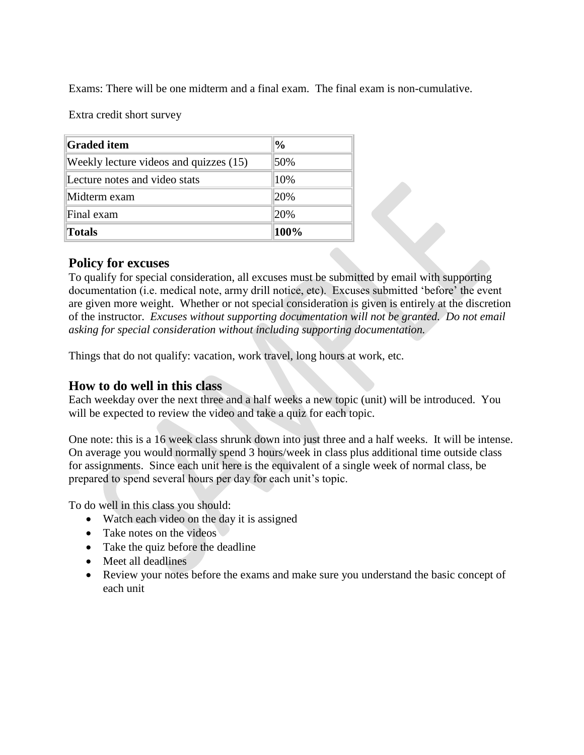Exams: There will be one midterm and a final exam. The final exam is non-cumulative.

Extra credit short survey

| <b>Graded item</b>                     | $\frac{0}{0}$ |
|----------------------------------------|---------------|
| Weekly lecture videos and quizzes (15) | 50%           |
| Lecture notes and video stats          | 10%           |
| Midterm exam                           | 20%           |
| Final exam                             | 20%           |
| <b>Totals</b>                          | 100%          |

#### **Policy for excuses**

To qualify for special consideration, all excuses must be submitted by email with supporting documentation (i.e. medical note, army drill notice, etc). Excuses submitted 'before' the event are given more weight. Whether or not special consideration is given is entirely at the discretion of the instructor. *Excuses without supporting documentation will not be granted. Do not email asking for special consideration without including supporting documentation.*

Things that do not qualify: vacation, work travel, long hours at work, etc.

#### **How to do well in this class**

Each weekday over the next three and a half weeks a new topic (unit) will be introduced. You will be expected to review the video and take a quiz for each topic.

One note: this is a 16 week class shrunk down into just three and a half weeks. It will be intense. On average you would normally spend 3 hours/week in class plus additional time outside class for assignments. Since each unit here is the equivalent of a single week of normal class, be prepared to spend several hours per day for each unit's topic.

To do well in this class you should:

- Watch each video on the day it is assigned
- Take notes on the videos
- Take the quiz before the deadline
- Meet all deadlines
- Review your notes before the exams and make sure you understand the basic concept of each unit